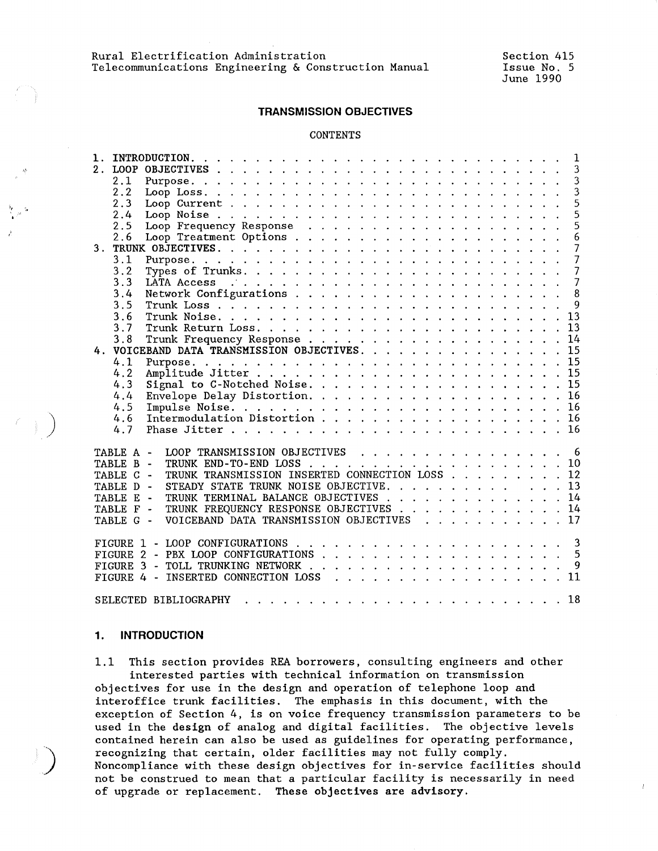Rural Electrification Administration Telecommunications Engineering & Construction Manual Section 415 Issue No. 5 June 1990

## **TRANSMISSION OBJECTIVES**

#### **CONTENTS**

| $1$ . |           | $\mathbf{1}$                                   |
|-------|-----------|------------------------------------------------|
|       |           | $\overline{3}$                                 |
|       | 2.1       | 3                                              |
|       | 2.2       | 3                                              |
|       | 2.3       | $\bar{5}$                                      |
|       | 2.4       | $\overline{5}$                                 |
|       | 2.5       | 5                                              |
|       | 2.6       | 6                                              |
|       |           | $\overline{7}$                                 |
|       | 3.1       | $\overline{7}$                                 |
|       | 3.2       | $\overline{7}$                                 |
|       | 3.3       | $\overline{7}$                                 |
|       | 3.4       | $\overline{8}$                                 |
|       | 3.5       | $\mathbf{q}$                                   |
|       | 3.6       |                                                |
|       | 3.7       |                                                |
|       |           |                                                |
| 4.    |           |                                                |
|       | 4.1       |                                                |
|       | 4.2       |                                                |
|       | 4.3       |                                                |
|       | 4.4       |                                                |
|       |           |                                                |
|       | 4.5       |                                                |
|       | 4.6       |                                                |
|       | 4.7       |                                                |
|       | TABLE A - | LOOP TRANSMISSION OBJECTIVES 6                 |
|       | TABLE B - |                                                |
|       | TABLE C - | TRUNK TRANSMISSION INSERTED CONNECTION LOSS 12 |
|       | TABLE D - | STEADY STATE TRUNK NOISE OBJECTIVE. 13         |
|       | TABLE E - | TRUNK TERMINAL BALANCE OBJECTIVES 14           |
|       | TABLE F - | TRUNK FREQUENCY RESPONSE OBJECTIVES 14         |
|       | TABLE G - | VOICEBAND DATA TRANSMISSION OBJECTIVES 17      |
|       |           |                                                |
|       |           |                                                |
|       |           |                                                |
|       |           |                                                |
|       |           |                                                |
|       |           |                                                |
|       |           | SELECTED BIBLIOGRAPHY                          |

# **1. INTRODUCTION**

1.1 This section provides REA borrowers, consulting engineers and other interested parties with technical information on transmission objectives for use in the design and operation of telephone loop and interoffice trunk facilities. The emphasis in this document, with the exception of Section 4, is on voice frequency transmission parameters to be used in the **design** of analog and digital facilities. The objective levels contained herein can also be used as guidelines for operating performance, recognizing that certain, older facilities may not fully comply. Noncompliance with these design objectives for in-service facilities should not be construed to mean that a particular facility is necessarily in need of upgrade or replacement. **These objectives are advisory.**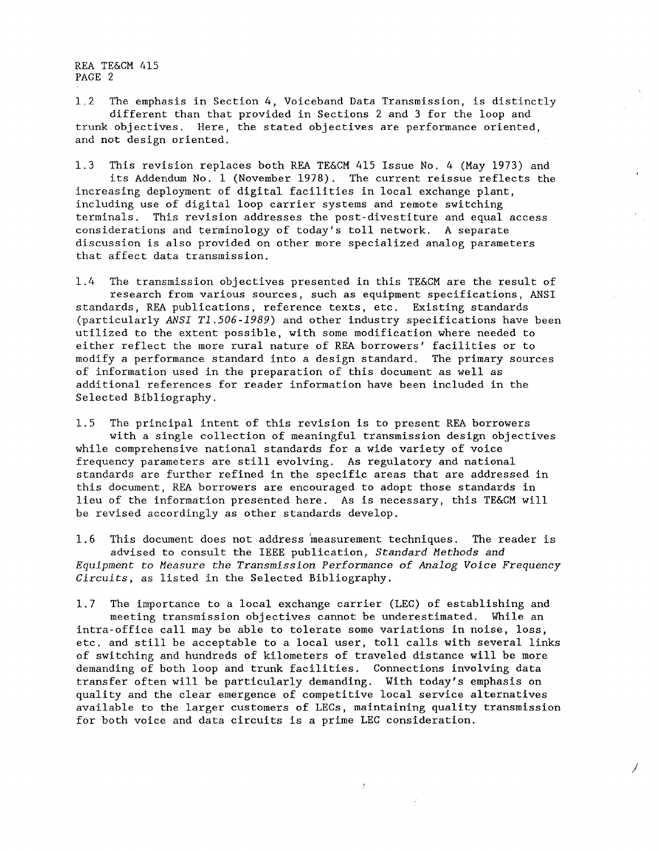1.2 The emphasis in Section 4, Voiceband Data Transmission, is distinctly different than that provided in Sections 2 and 3 for the loop and trunk objectives. Here, the stated objectives are performance oriented, and not design oriented.

1.3 This revision replaces both REA TE&CM 415 Issue No. 4 (May 1973) and its Addendum No. 1 (November 1978). The current reissue reflects the increasing deployment of digital facilities in local exchange plant, including use of digital loop carrier systems and remote switching terminals. This revision addresses the post-divestiture and equal access considerations and terminology of today's toll network. A separate discussion is also provided on other more specialized analog parameters that affect data transmission.

1.4 The transmission objectives presented in this TE&CM are the result of research from various sources, such as equipment specifications, ANSI standards, REA publications, reference texts, etc. Existing standards (particularly *ANSI Tl.506-1989)* and other industry specifications have been utilized to the extent possible, with some modification where needed to either reflect the more rural nature of REA borrowers' facilities or to modify a performance standard into a design standard. The primary sources of information used in the preparation of this document as well as additional references for reader information have been included in the Selected Bibliography.

1.5 The principal intent of this revision is to present REA borrowers with a single collection of meaningful transmission design objectives while comprehensive national standards for a wide variety of voice frequency parameters are still evolving. As regulatory and national standards are further refined in the specific areas that are addressed in this document, REA borrowers are encouraged to adopt those standards in lieu of the information presented here. As is necessary, this TE&CM will be revised accordingly as other standards develop.

1.6 This document does not address measurement techniques. The reader is advised to consult the IEEE publication, *Standard Methods and Equipment to Measure the Transmission Performance of Analog Voice Frequency Circuits,* as listed in the Selected Bibliography.

1.7 The importance to a local exchange carrier (LEG) of establishing and meeting transmission objectives cannot be underestimated. While an intra-office call may be able to tolerate some variations in noise, loss, etc. and still be acceptable to a local user, toll calls with several links of switching and hundreds of kilometers of traveled distance will be more demanding of both loop and trunk facilities. Connections involving data transfer often will be particularly demanding. With today's emphasis on quality and the clear emergence of competitive local service alternatives available to the larger customers of LECs, maintaining quality transmission for both voice and data circuits is a prime LEG consideration.

J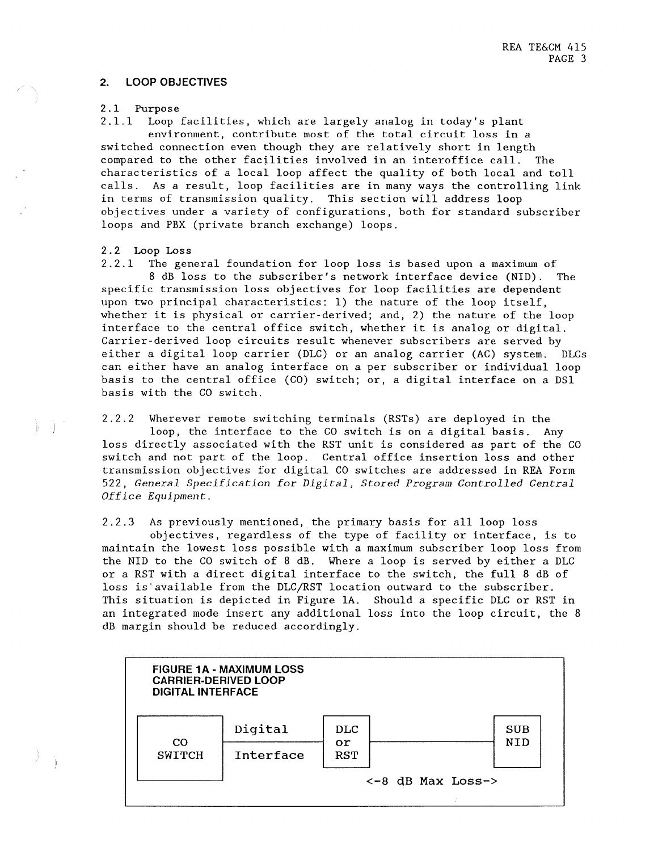## **2. LOOP OBJECTIVES**

#### 2 .1 Purpose

2.1.1 Loop facilities, which are largely analog in today's plant environment, contribute most of the total circuit loss in a switched connection even though they are relatively short in length compared to the other facilities involved in an interoffice call. The characteristics of a local loop affect the quality of both local and toll calls. As a result, loop facilities are in many ways the controlling link in terms of transmission quality. This section will address loop objectives under a variety of configurations, both for standard subscriber loops and PBX (private branch exchange) loops.

#### 2.2 Loop Loss

2.2.1 The general foundation for loop loss is based upon a maximum of 8 dB loss to the subscriber's network interface device (NID). The specific transmission loss objectives for loop facilities are dependent upon two principal characteristics: 1) the nature of the loop itself, whether it is physical or carrier-derived; and, 2) the nature of the loop interface to the central office switch, whether it is analog or digital. Carrier-derived loop circuits result whenever subscribers are served by either a digital loop carrier (DLC) or an analog carrier (AC) system. DLCs can either have an analog interface on a per subscriber or individual loop basis to the central office (CO) switch; or, a digital interface on a DSl basis with the CO switch.

2.2.2 Wherever remote switching terminals (RSTs) are deployed in the loop, the interface to the CO switch is on a digital basis. Any loss directly associated with the RST unit is considered as part of the CO switch and not part of the loop. Central office insertion loss and other transmission objectives for digital CO switches are addressed in REA Form 522, *General Specification for Digital, Stored Program Controlled Central Office Equipment.* 

2.2.3 As previously mentioned, the primary basis for all loop loss

objectives, regardless of the type of facility or interface, is to maintain the lowest loss possible with a maximum subscriber loop loss from the NID to the CO switch of 8 dB. Where a loop is served by either a DLC or a RST with a direct digital interface to the switch, the full 8 dB of loss is'available from the DLC/RST location outward to the subscriber. This situation is depicted in Figure lA. Should a specific DLC or RST in an integrated mode insert any additional loss into the loop circuit, the 8 dB margin should be reduced accordingly.

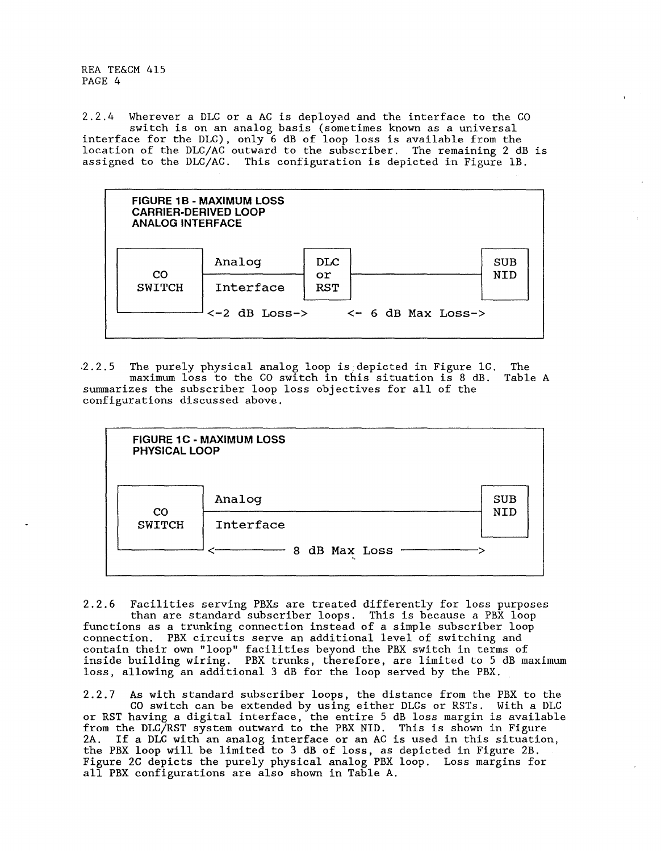2.2.4 Wherever a DLC or a AC is deployed and the interface to the CO switch is on an analog basis (sometimes known as a univers interface for the DLC), only 6 dB of loop loss is available from the location of the DLC/AC outward to the subscriber. The remaining 2 dB is assigned to the DLC/AC. This configuration is depicted in Figure lB.



,2. 2. 5 The purely physical analog loop is, depicted in Figure lC. maximum loss to the CO switch in this situation is 8 dB. summarizes the subscriber loop loss objectives for all of the configurations discussed above. The Table A

| <b>FIGURE 1C - MAXIMUM LOSS</b><br><b>PHYSICAL LOOP</b> |                                        |                   |  |  |  |
|---------------------------------------------------------|----------------------------------------|-------------------|--|--|--|
| $_{\rm CO}$<br><b>SWITCH</b>                            | Analog<br>Interface<br>8 dB Max Loss . | <b>SUB</b><br>NID |  |  |  |

2.2.6 Facilities serving PBXs are treated differently for loss purposes than are standard subscriber loops. This is because a PBX loop functions as a trunking connection instead of a simple subscriber loop connection. PBX circuits serve an additional level of switching and contain their own "loop" facilities beyond the PBX switch in terms of inside building wiring. PBX trunks, therefore, are limited to 5 dB maximum loss, allowing an additional 3 dB for the loop served by the PBX.

2.2.7 As with standard subscriber loops, the distance from the PBX to the CO switch can be extended by using either DLCs or RSTs. With a DLC or RST having a digital interface, the entire 5 dB loss margin is availab from the DLC/RST system outward to the PBX NID. This is shown in Figure 2A. If a DLC with an analog interface or an AC is used in this situation, the PBX loop will be limited to 3 dB of loss, as depicted in Figure 2B. Figure 2C depicts the purely physical analog PBX loop. Loss margins for all PBX configurations are also shown in Table A.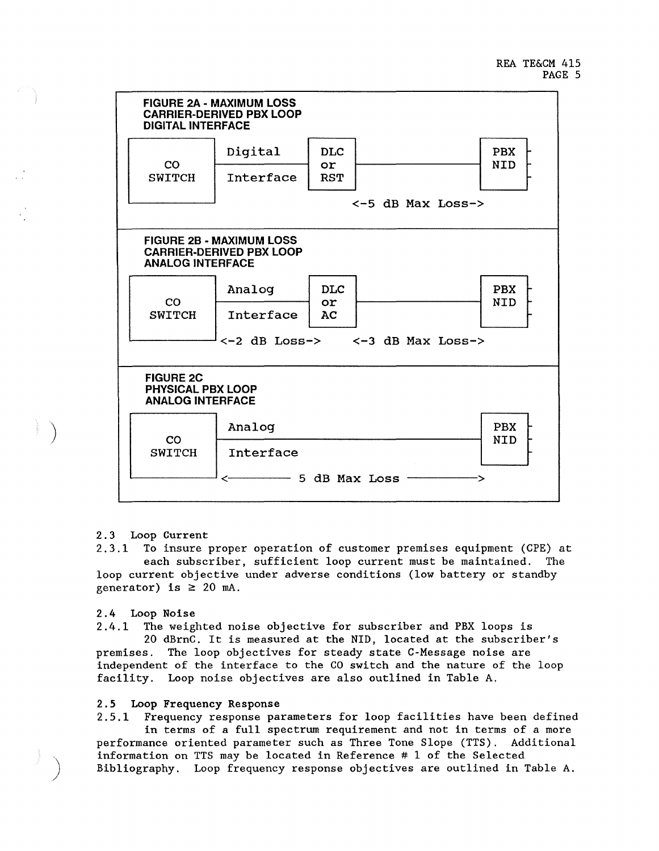

# 2.3 Loop Current

 $\left.\rule{0pt}{12pt}\right)$ 

 $\left( \frac{1}{2} \right)$ 

2.3.1 To insure proper operation of customer premises equipment (CPE) at each subscriber, sufficient loop current must be maintained. The loop current objective under adverse conditions (low battery or standby generator) is  $\geq 20$  mA.

#### 2. 4 Loop Noise

2.4.1 The weighted noise objective for subscriber and PBX loops is

20 dBrnC. It is measured at the NID, located at the subscriber's premises. The loop objectives for steady state C-Message noise are independent of the interface to the CO switch and the nature of the loop facility. Loop noise objectives are also outlined in Table A.

### 2.5 Loop Frequency Response

2.5.1 Frequency response parameters for loop facilities have been defined in terms of a full spectrum requirement and not in terms of a more performance oriented parameter such as Three Tone Slope (TTS). Additional information on TTS may be located in Reference  $# 1$  of the Selected Bibliography. Loop frequency response objectives are outlined in Table A.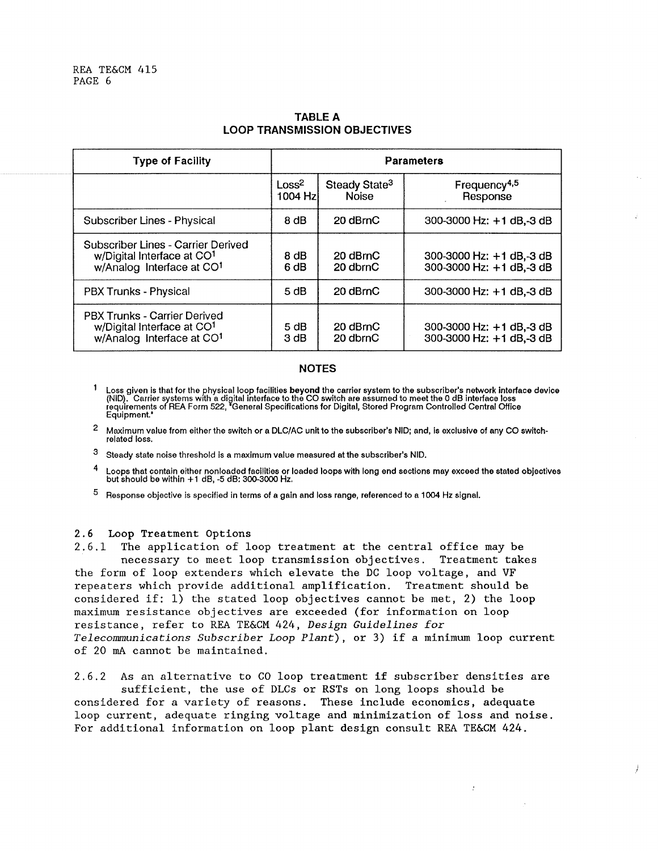| <b>Type of Facility</b>                                                                                          | <b>Parameters</b>             |                                           |                                                        |  |
|------------------------------------------------------------------------------------------------------------------|-------------------------------|-------------------------------------------|--------------------------------------------------------|--|
|                                                                                                                  | Loss <sup>2</sup><br>1004 Hzl | Steady State <sup>3</sup><br><b>Noise</b> | Frequency <sup>4,5</sup><br>Response                   |  |
| Subscriber Lines - Physical                                                                                      | 8 <sub>dB</sub>               | 20 dBrnC                                  | 300-3000 Hz: +1 dB,-3 dB                               |  |
| <b>Subscriber Lines - Carrier Derived</b><br>w/Digital Interface at CO1<br>w/Analog Interface at CO <sup>1</sup> | 8 dB<br>6 dB                  | 20 dBrnC<br>20 dbrnC                      | 300-3000 Hz: +1 dB, -3 dB<br>300-3000 Hz: +1 dB, -3 dB |  |
| PBX Trunks - Physical                                                                                            | 5 dB                          | 20 dBrnC                                  | 300-3000 Hz: +1 dB,-3 dB                               |  |
| <b>PBX Trunks - Carrier Derived</b><br>w/Digital Interface at CO1<br>w/Analog Interface at CO1                   | 5 dB<br>3 dB                  | 20 dBrnC<br>20 dbrnC                      | 300-3000 Hz: +1 dB,-3 dB<br>300-3000 Hz: +1 dB,-3 dB   |  |

# **TABLE A LOOP TRANSMISSION OBJECTIVES**

# **NOTES**

 $\mathbf{1}$ Loss given is that for the physical loop facilities **beyond** the carrier system to the subscriber's network interface device<br>(NID)、Carrier systems with a digital interface to the CO switch are assumed to meet the 0 dB inte Equipment.'

- 2 Maximum value from either the switch or a DLC/AC unit to the subscriber's NID; and, is exclusive of any CO switchrelated loss.
- $3$  Steady state noise threshold is a maximum value measured at the subscriber's NID.
- Loops that contain either nonloaded facilities or loaded loops with long end sections may exceed the stated objectives but should be within  $+1$  dB,  $-5$  dB: 300-3000 Hz.
- $^{\,5}\,$  Response objective is specified in terms of a gain and loss range, referenced to a 1004 Hz signal.

# 2.6 Loop Treatment Options

2.6.1 The application of loop treatment at the central office may be necessary to meet loop transmission objectives. Treatment takes the form of loop extenders which elevate the DC loop voltage, and VF repeaters which provide additional amplification. Treatment should be considered if: 1) the stated loop objectives cannot be met, 2) the loop maximum resistance objectives are exceeded (for information on loop resistance, refer to REA TE&CM 424, *Design Guidelines for Telecommunications Subscriber Loop Plant),* or 3) if a minimum loop current of 20 mA cannot be maintained.

2.6.2 As an alternative to CO loop treatment if subscriber densities are sufficient, the use of DLCs or RSTs on long loops should be

considered for a variety of reasons. These include economics, adequate loop current, adequate ringing voltage and minimization of loss and noise. For additional information on loop plant design consult REA TE&CM 424.

 $\mathcal{I}$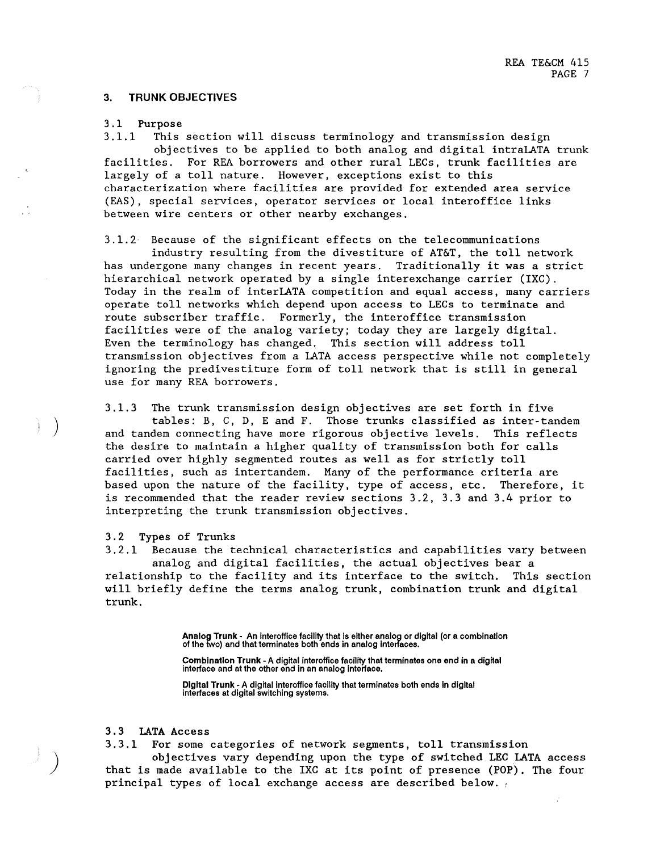#### **3. TRUNK OBJECTIVES**

# 3 .1 **Purpose**

This section will discuss terminology and transmission design objectives to be applied to both analog and digital intraLATA trunk facilities. For REA borrowers and other rural LECs, trunk facilities are largely of a toll nature. However, exceptions exist to this characterization where facilities are provided for extended area service (EAS), special services, operator services or local interoffice links between wire centers or other nearby exchanges.

3.1.2 Because of the significant effects on the telecommunications

industry resulting from the divestiture of AT&T, the toll network has undergone many changes in recent years. Traditionally it was a strict hierarchical network operated by a single interexchange carrier (IXC). Today in the realm of interLATA competition and equal access, many carriers operate toll networks which depend upon access to LECs to terminate and route subscriber traffic. Formerly, the interoffice transmission facilities were of the analog variety; today they are largely digital. Even the terminology has changed. This section will address toll transmission objectives from a LATA access perspective while not completely ignoring the predivestiture form of toll network that is still in general use for many REA borrowers.

3.1.3 The trunk transmission design objectives are set forth in five tables: B, C, D, E and F. Those trunks classified as inter-tandem and tandem connecting have more rigorous objective levels. This reflects the desire to maintain a higher quality of transmission both for calls carried over highly segmented routes as well as for strictly toll facilities, such as intertandem. Many of the performance criteria are based upon the nature of the facility, type of access, etc. Therefore, it is recommended that the reader review sections 3.2, 3.3 and 3.4 prior to interpreting the trunk transmission objectives.

#### 3. 2 Types of Trunks

 $\big)$ 

*)* 

3.2.1 Because the technical characteristics and capabilities vary between analog and digital facilities, the actual objectives bear a relationship to the facility and its interface to the switch. This section will briefly define the terms analog trunk, combination trunk and digital trunk.

Analog Trunk - An interoffice facility that is either analog or digital (or a combination of the two) and that terminates both ends in analog interfaces.

**Combination Trunk** - **A** digital interoffice facility that terminates one end in a digital interface and at the other end in an analog Interface.

**Digital Trunk** - A digital interoffice facility that terminates both ends In digital interfaces at digital switching systems.

## **3. 3 LATA Access**

3.3.1 For some categories of network segments, toll transmission

objectives vary depending upon the type of switched LEC LATA access that is made available to the IXC at its point of presence (POP). The four principal types of local exchange access are described below. ,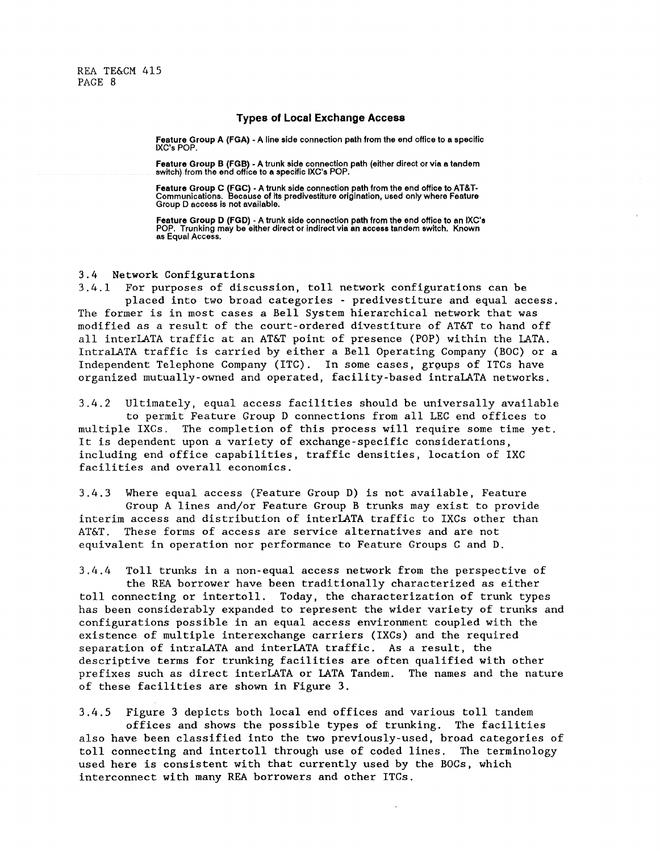#### Types of Local Exchange Access

Feature Group A (FGA) • A line side connection path from the end office to **a** specific IXC's POP.

**Feature** Group B (FGB) • A trunk side connection path (either direct or **via a** tandem switch) from the end office to a specific IXC's POP.

**Feature** Group C (FGC) • A trunk side connection path from the end office to AT&T-Communications. Because of its predivestiture origination, used only where Feature Group D access is not available.

**Feature** Group D (FGD) • A trunk side connection path from the end office to an IXC's POP. Trunking may be either direct or indirect via an access tandem switch. Known as Equal Access.

#### 3.4 Network Configurations

3.4.1 For purposes of discussion, toll network configurations can be placed into two broad categories - predivestiture and equal access. The former is in most cases a Bell System hierarchical network that was modified as a result of the court-ordered divestiture of AT&T to hand off all interLATA traffic at an AT&T point of presence (POP) within the LATA. IntraLATA traffic is carried by either a Bell Operating Company (BOC) or a Independent Telephone Company (ITC). In some cases, grgups of ITCs have organized mutually-owned and operated, facility-based intraLATA networks.

3.4.2 Ultimately, equal access facilities should be universally available to permit Feature Group D connections from all LEG end offices to multiple IXCs. The completion of this process will require some time yet. It is dependent upon a variety of exchange-specific considerations, including end office capabilities, traffic densities, location of IXC facilities and overall economics.

3.4.3 Where equal access (Feature Group D) is not available, Feature Group A lines and/or Feature Group B trunks may exist to provide interim access and distribution of interLATA traffic to IXCs other than AT&T. These forms of access are service alternatives and are not equivalent in operation nor performance to Feature Groups C and D.

3.4.4 Toll trunks in a non-equal access network from the perspective of the REA borrower have been traditionally characterized as either toll connecting or intertoll. Today, the characterization of trunk types has been considerably expanded to represent the wider variety of trunks and configurations possible in an equal access environment coupled with the existence of multiple interexchange carriers (IXCs) and the required separation of intraLATA and interLATA traffic. As a result, the descriptive terms for trunking facilities are often qualified with other prefixes such as direct interLATA or LATA Tandem. The names and the nature of these facilities are shown in Figure 3.

3.4.5 Figure 3 depicts both local end offices and various toll tandem offices and shows the possible types of trunking. The facilities also have been classified into the two previously-used, broad categories of toll connecting and intertoll through use of coded lines. The terminology used here is consistent with that currently used by the BOCs, which interconnect with many REA borrowers and other ITCs.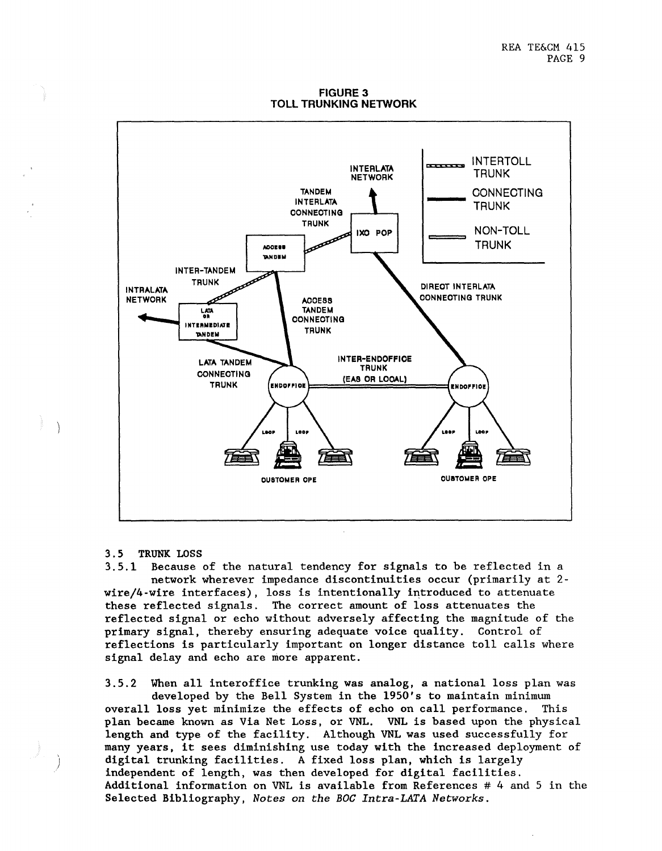FIGURE 3 TOLL TRUNKING NETWORK



# **3** . **5 TRUNK LOSS**

3.5.1 Because of the natural tendency for **signals** to be reflected in a network wherever impedance discontinuities occur (primarily at 2  $wire/4$ -wire interfaces), loss is intentionally introduced to attenuate these reflected signals. The correct amount of loss attenuates the reflected signal or echo without adversely affecting the magnitude of the primary signal, thereby ensuring adequate voice quality. Control of reflections is particularly important on longer distance toll calls where signal delay and echo are more apparent.

3.5.2 When all interoffice trunking was analog, a national loss plan was developed by the Bell System in the 1950's to maintain minimum overall loss yet minimize the effects of echo on call performance, This plan became known as Via Net Loss, or VNL. VNL is based upon the physical length and type of the facility. Although VNL was used successfully for many years, it sees diminishing use today with the increased deployment of digital trunking facilities. A fixed loss plan, which is largely independent of length, was then developed for digital facilities. Additional information on VNL is available from References  $#$  4 and 5 in the Selected Bibliography, *Notes on the BOC Intra-LATA Networks.*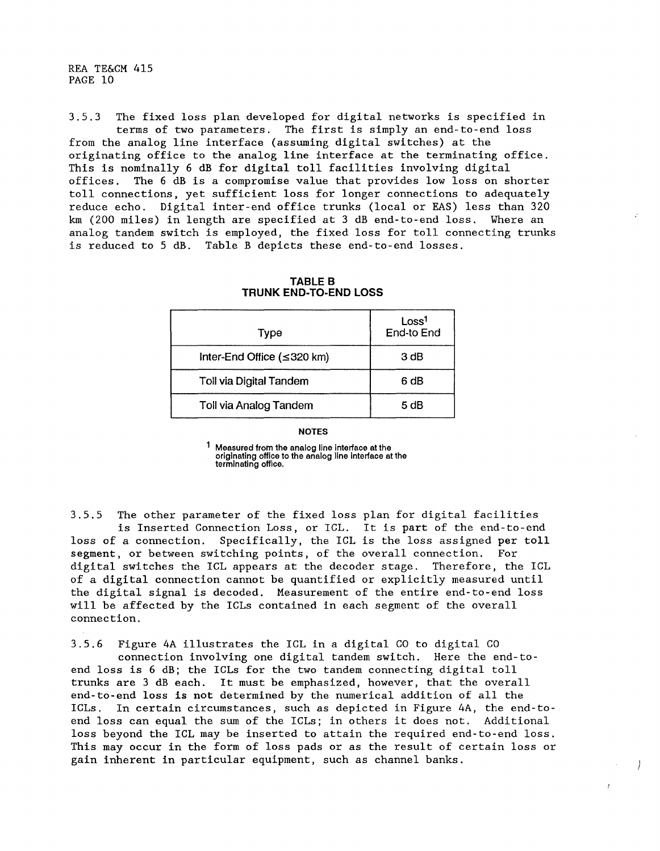3.5.3 The fixed loss plan developed for digital networks is specified in terms of two parameters. The first is simply an end-to-end loss from the analog line interface (assuming digital switches) at the originating office to the analog line interface at the terminating office. This is nominally 6 dB for digital toll facilities involving digital offices. The 6 dB is a compromise value that provides low loss on shorter toll connections, yet sufficient loss for longer connections to adequately reduce echo. Digital inter-end office trunks (local or EAS) less than 320 km (200 miles) in length are specified at 3 dB end-to-end loss. Where an analog tandem switch is employed, the fixed loss for toll connecting trunks is reduced to 5 dB. Table B depicts these end-to-end losses.

| <b>Type</b>                | Loss <sup>1</sup><br>End-to End |
|----------------------------|---------------------------------|
| Inter-End Office (≤320 km) | 3 dB                            |
| Toll via Digital Tandem    | 6 dB                            |
| Toll via Analog Tandem     | 5 dB                            |

# **TABLE B TRUNK END-TO-END LOSS**

#### **NOTES**

Measured from the analog line interface at the originating office to the analog line interface at the terminating office.

3.5.5 The other parameter of the fixed loss plan for digital facilities is Inserted Connection Loss, or ICL. It is part of the end-to-end loss of a connection. Specifically, the ICL is the loss assigned per toll segment, or between switching points, of the overall connection. For digital switches the ICL appears at the decoder stage. Therefore, the ICL of a digital connection cannot be quantified or explicitly measured until the digital signal is decoded. Measurement of the entire end-to-end loss will be affected by the ICLs contained in each segment of the overall connection.

3.5.6 Figure 4A illustrates the ICL in a digital CO to digital CO connection involving one digital tandem switch. Here the end-toend loss is 6 dB; the ICLs for the two tandem connecting digital toll trunks are 3 dB each. It must be emphasized, however, that the overall end-to-end loss **is not** determined by the numerical addition of all the ICLs. In certain circumstances, such as depicted in Figure 4A, the end-toend loss can equal the sum of the ICLs; in others it does not. Additional loss beyond the ICL may be inserted to attain the required end-to-end loss. This may occur in the form of loss pads or as the result of certain loss or gain inherent in particular equipment, such as channel banks.

 $\left| \right|$ 

 $\mathcal{A}$ 

 $\overline{t}$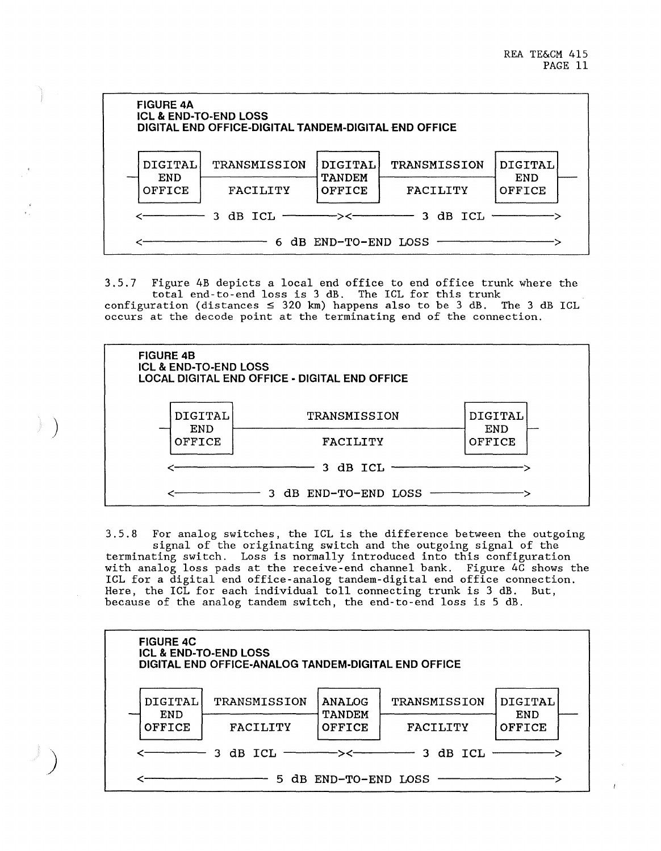

3.5.7 Figure 4B depicts a local end office to end office trunk where the total end-to-end loss is 3 dB. The ICL for this trunk configuration (distances  $\leq$  320 km) happens also to be 3 dB. The 3 dB ICL occurs at the decode point at the terminating end of the connection.



 $\big)$ 

 $\sum_{i=1}^{n}$ 

3.5.8 For analog switches, the ICL is the difference between the outgoing signal of the originating switch and the outgoing signal of the terminating switch. Loss is normally introduced into this configuration with analog loss pads at the receive-end channel bank. Figure 4C shows the ICL for a digital end office-analog tandem-digital end office connectic Here, the ICL for each individual toll connecting trunk is 3 dB. But, because of the analog tandem switch, the end-to-end loss is 5 dB.

| <b>FIGURE 4C</b><br><b>ICL &amp; END-TO-END LOSS</b><br>DIGITAL END OFFICE-ANALOG TANDEM-DIGITAL END OFFICE |              |                         |              |                      |  |
|-------------------------------------------------------------------------------------------------------------|--------------|-------------------------|--------------|----------------------|--|
| DIGITAL                                                                                                     | TRANSMISSION | ANALOG                  | TRANSMISSION | <b>DIGITAL</b>       |  |
| <b>END</b><br>OFFICE                                                                                        | FACILITY     | TANDEM<br><b>OFFICE</b> | FACILITY     | <b>END</b><br>OFFICE |  |
| 3 dB ICL<br>3 dB ICL $\frac{\cdots}{\cdots}$                                                                |              |                         |              |                      |  |
| 5 dB END-TO-END LOSS                                                                                        |              |                         |              |                      |  |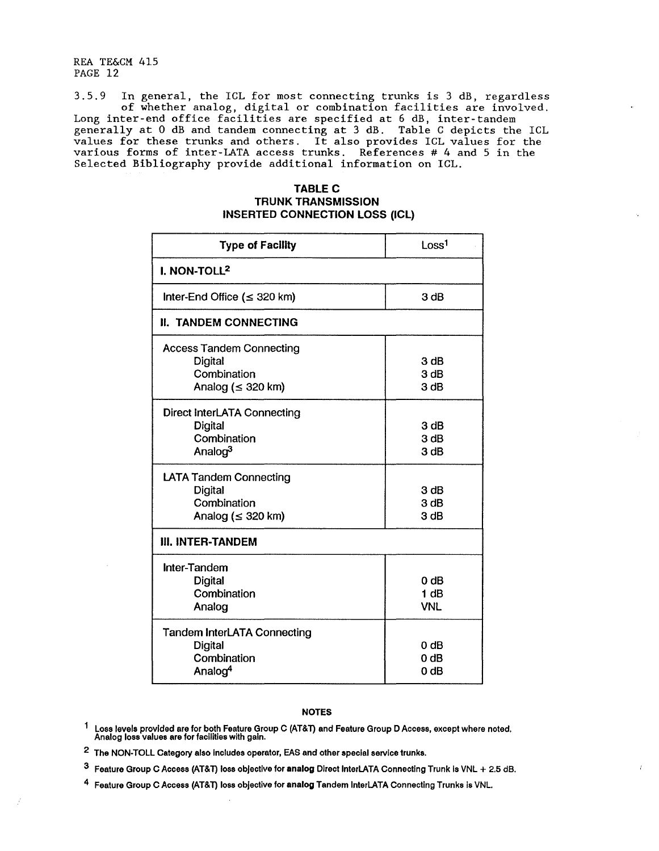$3.5.9$  In general, the ICL for most connecting trunks is  $3$  dB, regardle of whether analog, digital or combination facilities are involve Long inter-end office facilities are specified at  $6$  dB, inter-tand generally at 0 dB and tandem connecting at 3 dB. Table C depicts the ICL values for these trunks and others. It also provides ICL values for the various forms of inter-LATA access trunks. References # 4 and 5 in the Selected Bibliography provide additional information on ICL.

# **TABLE C TRUNK TRANSMISSION INSERTED CONNECTION LOSS (ICL)**

| <b>Type of Facility</b>                                                                    | Loss <sup>1</sup>                                       |  |  |
|--------------------------------------------------------------------------------------------|---------------------------------------------------------|--|--|
| <b>I. NON-TOLL<sup>2</sup></b>                                                             |                                                         |  |  |
| Inter-End Office $(\leq 320 \text{ km})$                                                   | 3 dB                                                    |  |  |
| <b>II. TANDEM CONNECTING</b>                                                               |                                                         |  |  |
| <b>Access Tandem Connecting</b><br>Digital<br>Combination<br>Analog ( $\leq$ 320 km)       | 3 dB<br>3 dB<br>3 dB                                    |  |  |
| <b>Direct InterLATA Connecting</b><br><b>Digital</b><br>Combination<br>Analog <sup>3</sup> | 3 dB<br>3 dB<br>3 dB                                    |  |  |
| <b>LATA Tandem Connecting</b><br>Digital<br>Combination<br>Analog ( $\leq$ 320 km)         | 3 dB<br>3 dB<br>3 dB                                    |  |  |
| <b>III. INTER-TANDEM</b>                                                                   |                                                         |  |  |
| Inter-Tandem<br><b>Digital</b><br>Combination<br>Analog                                    | 0 <sub>dB</sub><br>1 dB<br><b>VNL</b>                   |  |  |
| <b>Tandem InterLATA Connecting</b><br><b>Digital</b><br>Combination<br>Analog <sup>4</sup> | 0 <sub>dB</sub><br>0 <sub>d</sub> B<br>0 <sub>d</sub> B |  |  |

#### **NOTES**

Loss levels provided are for both Feature Group C (AT&T) and Feature Group D Access, except where noted. Analog loss values are for facilities with gain.

2 The NON-TOLL Category also includes operator, EAS and other special service trunks.

3 Feature Group C Access (AT&T) loss objective for **analog** Direct lnterLATA Connecting Trunk is VNL + 2.5 dB.

4 Feature Group C Access (AT&T) loss objective for **analog** Tandem lnterLATA Connecting Trunks is VNL.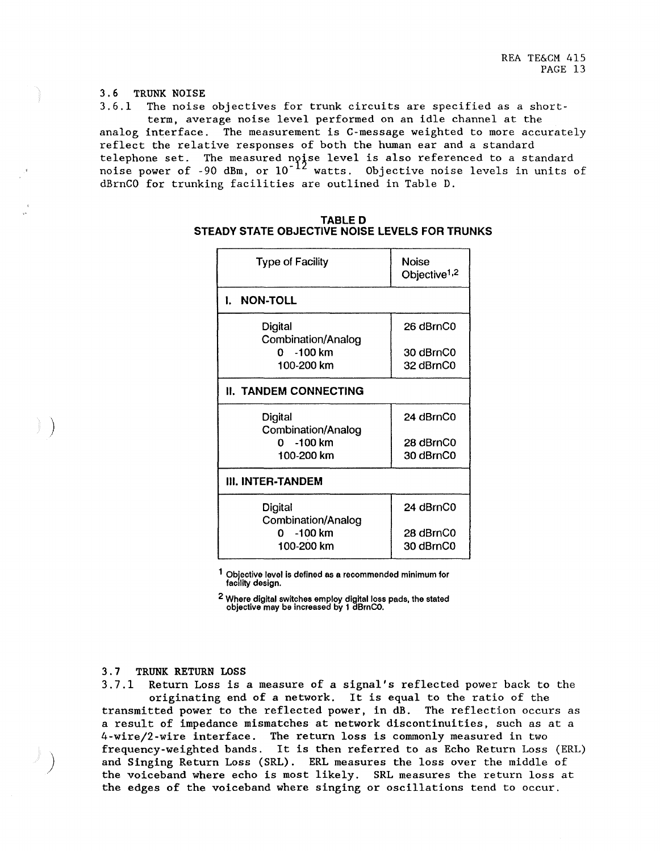#### 3. **6 TRUNK NOISE**

 $\big)$ 

 $\left( \frac{1}{2} \right)$ 

3.6.1 The noise objectives for trunk circuits are specified as a shortterm, average noise level performed on an idle channel at the analog interface. The measurement is C-message weighted to more accurately reflect the relative responses of both the human ear and a standard telephone set. The measured n $\mathfrak{q} \mathfrak{z}$ se level is also referenced to a standa $\mathfrak q$ noise power of -90 dBm, or  $10$   $^\texttt{12}$  watts. Objective noise levels in units of dBrnCO for trunking facilities are outlined in Table D.

# **TABLED STEADY STATE OBJECTIVE NOISE LEVELS FOR TRUNKS**

| <b>Type of Facility</b>       | Noise<br>Objective <sup>1,2</sup> |  |  |  |
|-------------------------------|-----------------------------------|--|--|--|
| <b>I. NON-TOLL</b>            |                                   |  |  |  |
| Digital<br>Combination/Analog | 26 dBrnC0                         |  |  |  |
| $0 - 100$ km                  | 30 dBrnC0                         |  |  |  |
| 100-200 km                    | 32 dBrnC0                         |  |  |  |
| <b>II. TANDEM CONNECTING</b>  |                                   |  |  |  |
| Digital<br>Combination/Analog | 24 dBrnC0                         |  |  |  |
| $0 - 100$ km                  | 28 dBrnC0                         |  |  |  |
| 100-200 km                    | 30 dBrnC0                         |  |  |  |
| III. INTER-TANDEM             |                                   |  |  |  |
| Digital<br>Combination/Analog | 24 dBrnC0                         |  |  |  |
| 0 -100 km                     | 28 dBrnC0                         |  |  |  |
| 100-200 km                    | 30 dBrnC0                         |  |  |  |

1 Objective level is defined as a recommended minimum for facility design.

2 Where digital switches employ digital loss pads, the stated objective may be increased by 1 dBrnCO.

#### 3.7 **TRUNK RETURN LOSS**

3.7.1 Return Loss is a measure of a signal's reflected power back to the originating end of a network. It is equal to the ratio of the transmitted power to the reflected power, in dB. The reflection occurs as a result of impedance mismatches at network discontinuities, such as at a 4-wire/2-wire interface. The return loss is commonly measured in two frequency-weighted bands. It is then referred to as Echo Return Loss (ERL) and Singing Return Loss (SRL). ERL measures the loss over the middle of the voiceband where echo is most likely. SRL measures the return loss at the edges of the voiceband where singing or oscillations tend to occur.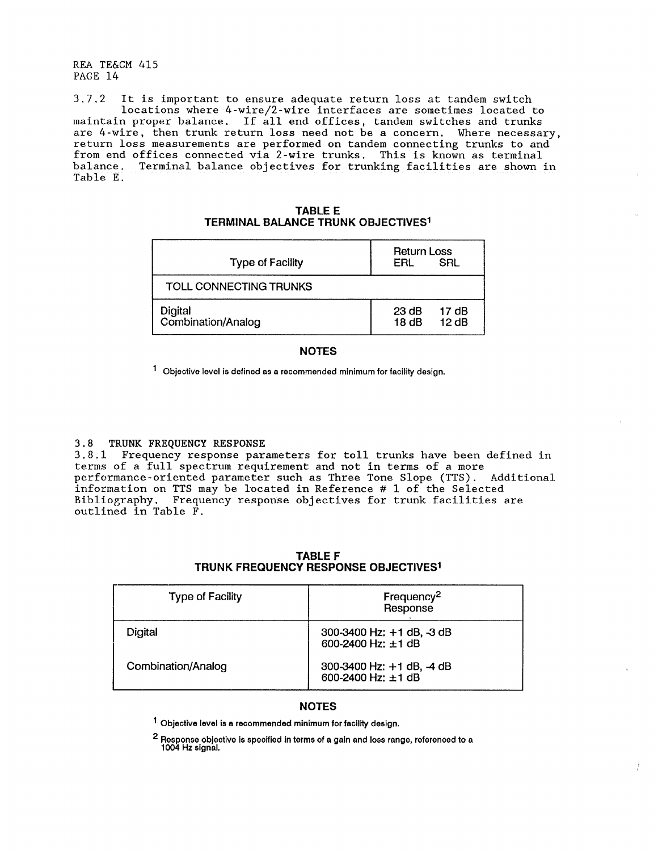3.7.2 It is important to ensure adequate return loss at tandem switch locations where 4-wire/2-wire interfaces are sometimes located to maintain proper balance. If all end offices, tandem switches and trunks are 4-wire, then trunk return loss need not be a concern. Where necessary, return loss measurements are performed on tandem connecting trunks to and from end offices connected via 2-wire trunks. This is known as terminal balance. Terminal balance objectives for trunking facilities are shown Terminal balance objectives for trunking facilities are shown in Table E.

**TABLE E TERMINAL BALANCE TRUNK OBJECTIVES 1** 

| <b>Type of Facility</b>       | <b>Return Loss</b><br>ERL | SRL.         |
|-------------------------------|---------------------------|--------------|
| <b>TOLL CONNECTING TRUNKS</b> |                           |              |
| Digital<br>Combination/Analog | 23 dB<br>18dB             | 17dB<br>12dB |

# **NOTES**

Objective level is defined as a recommended minimum for facility design.

# 3.8 TRUNK FREQUENCY RESPONSE

3.8.l Frequency response parameters for toll trunks have been defined in terms of a full spectrum requirement and not in terms of a more performance-oriented parameter such as Three Tone Slope (TTS). Additional information on TTS may be located in Reference  $# 1$  of the Selected Bibliography. Frequency response objectives for trunk facilities are outlined in Table F.

| <b>TABLE F</b>                              |  |  |  |  |  |
|---------------------------------------------|--|--|--|--|--|
| <b>TRUNK FREQUENCY RESPONSE OBJECTIVES1</b> |  |  |  |  |  |

| <b>Type of Facility</b> | Frequency <sup>2</sup><br>Response                   |
|-------------------------|------------------------------------------------------|
| Digital                 | 300-3400 Hz: +1 dB, -3 dB<br>600-2400 Hz: $±1$ dB    |
| Combination/Analog      | 300-3400 Hz: +1 dB, -4 dB<br>600-2400 Hz: $\pm$ 1 dB |

# **NOTES**

1 Objective level is a recommended minimum for facility design.

2 Response objective is specified in terms of a gain and loss range, referenced to a 1004 Hz signal.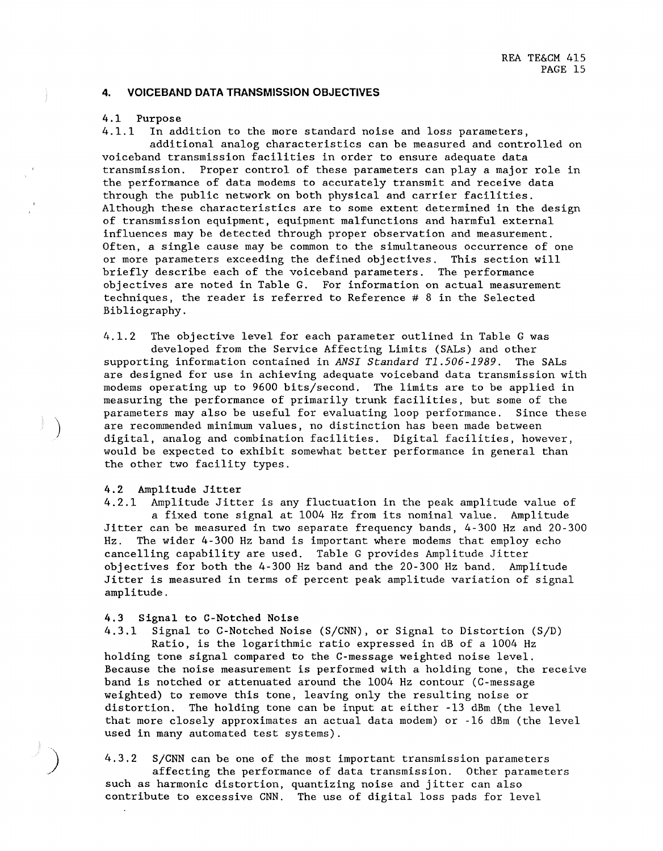# **4. VOICEBAND DATA TRANSMISSION OBJECTIVES**

#### 4.1 Purpose

4.1.1 In addition to the more standard noise and loss parameters,

additional analog characteristics can be measured and controlled on voiceband transmission facilities in order to ensure adequate data transmission. Proper control of these parameters can play a major role in the performance of data modems to accurately transmit and receive data through the public network on both physical and carrier facilities. Although these characteristics are to some extent determined in the design of transmission equipment, equipment malfunctions and harmful external influences may be detected through proper observation and measurement. Often, a single cause may be common to the simultaneous occurrence of one or more parameters exceeding the defined objectives. This section will briefly describe each of the voiceband parameters. The performance objectives are noted in Table G. For information on actual measurement techniques, the reader is referred to Reference  $# 8$  in the Selected Bibliography.

4.1.2 The objective level for each parameter outlined in Table G was developed from the Service Affecting Limits (SALs) and other supporting information contained in *ANSI Standard Tl.506-1989.* The SALs are designed for use in achieving adequate voiceband data transmission with modems operating up to 9600 bits/second. The limits are to be applied in measuring the performance of primarily trunk facilities, but some of the parameters may also be useful for evaluating loop performance. Since these are recommended minimum values, no distinction has been made between digital, analog and combination facilities. Digital facilities, however, would be expected to exhibit somewhat better performance in general than the other two facility types.

#### 4.2 Amplitude Jitter

*)* 

4.2.1 Amplitude Jitter is any fluctuation in the peak amplitude value of a fixed tone signal at 1004 Hz from its nominal value. Amplitude Jitter can be measured in two separate frequency bands, 4-300 Hz and 20-300 Hz. The wider 4-300 Hz band is important where modems that employ echo cancelling capability are used. Table G provides Amplitude Jitter objectives for both the 4-300 Hz band and the 20-300 Hz band. Amplitude Jitter is measured in terms of percent peak amplitude variation of signal amplitude.

#### 4.3 Signal to C-Notched Noise

4.3.1 Signal to C-Notched Noise (S/CNN), or Signal to Distortion (S/D) Ratio, is the logarithmic ratio expressed in dB of a 1004 Hz holding tone signal compared to the C-message weighted noise level. Because the noise measurement is performed with a holding tone, the receive band is notched or attenuated around the 1004 Hz contour (C-message weighted) to remove this tone, leaving only the resulting noise or distortion. The holding tone can be input at either -13 dBm (the level that more closely approximates an actual data modem) or -16 dBm (the level used in many automated test systems).

4.3.2 S/CNN can be one of the most important transmission parameters affecting the performance of data transmission. Other parameters such as harmonic distortion, quantizing noise and jitter can also contribute to excessive CNN. The use of digital loss pads for level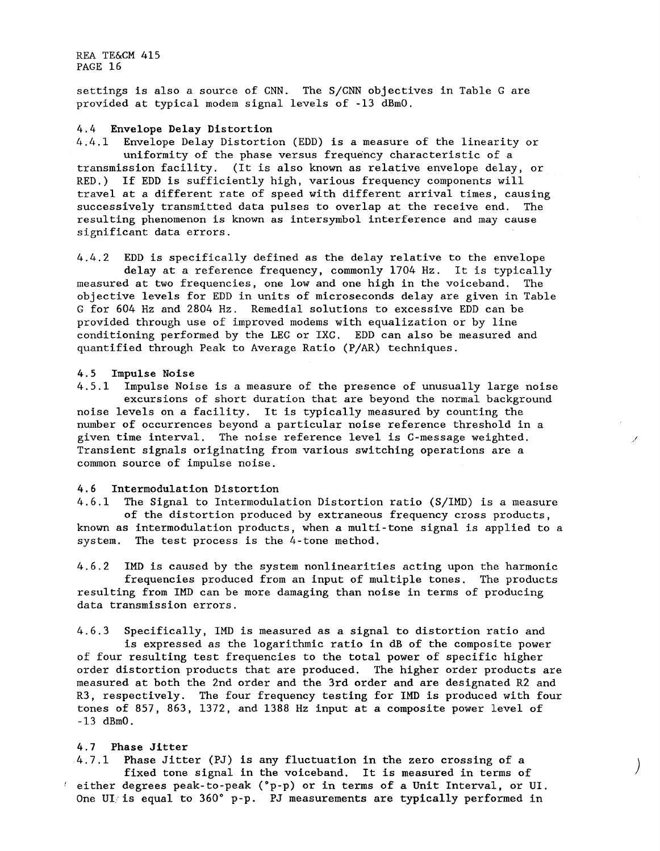settings is also a source of CNN. The S/CNN objectives in Table Gare provided at typical modem signal levels of -13 dBmO.

# 4.4 **Envelope Delay** Distortion

4.4.1 Envelope Delay Distortion (EDD) is a measure of the linearity or uniformity of the phase versus frequency characteristic of a transmission facility. (It is also known as relative envelope delay, or RED.) If EDD is sufficiently high, various frequency components will travel at a different rate of speed with different arrival times, causing successively transmitted data pulses to overlap at the receive end. The resulting phenomenon is known as intersymbol interference and may cause significant data errors.

4.4.2 EDD is specifically defined as the delay relative to the envelope delay at a reference frequency, commonly 1704 Hz. It is typically measured at two frequencies, one low and one high in the voiceband. The objective levels for EDD in units of microseconds delay are given in Table G for 604 Hz and 2804 Hz. Remedial solutions to excessive EDD can be provided through use of improved modems with equalization or by line conditioning performed by the LEC or IXC. EDD can also be measured and quantified through Peak to Average Ratio (P/AR) techniques.

# 4.5 Impulse Noise

4.5.1 Impulse Noise is a measure of the presence of unusually large noise excursions of short duration that are beyond the normal background noise levels on a facility. It is typically measured by counting the number of occurrences beyond a particular noise reference threshold in a given time interval. The noise reference level is C-message weighted. Transient signals originating from various switching operations are a common source of impulse noise.

/

 $\left( \frac{1}{2} \right)$ 

#### 4.6 Intermodulation Distortion

4.6.1 The Signal to Intermodulation Distortion ratio (S/IMD) is a measure of the distortion produced by extraneous frequency cross products, known as intermodulation products, when a multi-tone signal is applied to a system. The test process is the 4-tone method.

4.6.2 IMD is caused by the system nonlinearities acting upon the harmonic frequencies produced from an input of multiple tones. The products resulting from IMD can be more damaging than noise in terms of producing data transmission errors.

4.6.3 Specifically, IMD is measured as a signal to distortion ratio and is expressed as the logarithmic ratio in dB of the composite power of four resulting test frequencies to the total power of specific higher order distortion products that are produced. The higher order products are measured at both the 2nd order and the 3rd order and are designated R2 and R3, respectively. The four frequency testing for IMD is produced with four tones of 857, 863, 1372, and 1388 Hz input at a composite power level of -13 dBmO.

# 4.7 **Phase** Jitter

4.7.1 Phase Jitter (PJ) is any fluctuation in the zero crossing of a fixed tone signal in the voiceband. It is measured in terms of  $^{\prime}$  either degrees peak-to-peak ( $^{\circ}$ p-p) or in terms of a Unit Interval, or UI. One UI $\ell$  is equal to 360° p-p. PJ measurements are typically performed in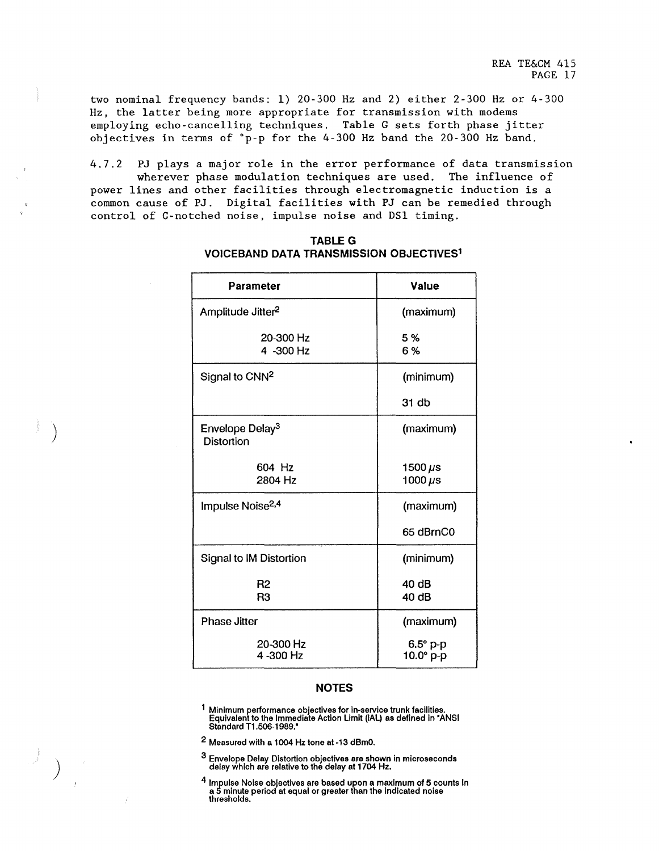two nominal frequency bands: 1) 20-300 Hz and 2) either 2-300 Hz or 4-300 Hz, the latter being more appropriate for transmission with modems employing echo-cancelling techniques, Table G sets forth phase jitter objectives in terms of °p-p for the 4-300 Hz band the 20-300 Hz band

4.7.2 PJ plays a major role in the error performance of data transmission wherever phase modulation techniques are used. The influence of power lines and other facilities through electromagnetic induction is a common cause of PJ. Digital facilities with PJ can be remedied through control of C-notched noise, impulse noise and DSl timing.

| Parameter                                        | Value                        |
|--------------------------------------------------|------------------------------|
| Amplitude Jitter <sup>2</sup>                    | (maximum)                    |
| 20-300 Hz<br>4 -300 Hz                           | 5%<br>6%                     |
| Signal to CNN <sup>2</sup>                       | (minimum)                    |
|                                                  | 31 db                        |
| Envelope Delay <sup>3</sup><br><b>Distortion</b> | (maximum)                    |
| 604 Hz<br>2804 Hz                                | 1500 $\mu$ s<br>1000 $\mu$ s |
| Impulse Noise <sup>2,4</sup>                     | (maximum)                    |
|                                                  | 65 dBrnC0                    |
| Signal to IM Distortion                          | (minimum)                    |
| R <sub>2</sub><br>R3                             | 40 dB<br>40 dB               |
| Phase Jitter                                     | (maximum)                    |
| 20-300 Hz<br>4-300 Hz                            | $6.5^\circ$ p-p<br>10.0° p-p |

 $\big)$ 

 $\big)$ 

# **TABLEG VOICEBAND DATA TRANSMISSION OBJECTIVES 1**

# **NOTES**

- 1 Minimum performance objectives for in-service trunk facilities. Equivalent to the Immediate Action Limit (IAL) as defined in "ANSI Standard T1 .506-1989.'
- 2 Measured with a 1004 Hz tone at -13 dBmO.
- $^3$  Envelope Delay Distortion objectives are shown in microseconds<br>delay which are relative to the delay at 1704 Hz.
- <sup>4</sup> Impulse Noise objectives are based upon a maximum of 5 counts in thresholds.<br>
a 5 minute period at equal or greater than the indicated noise<br>
thresholds.